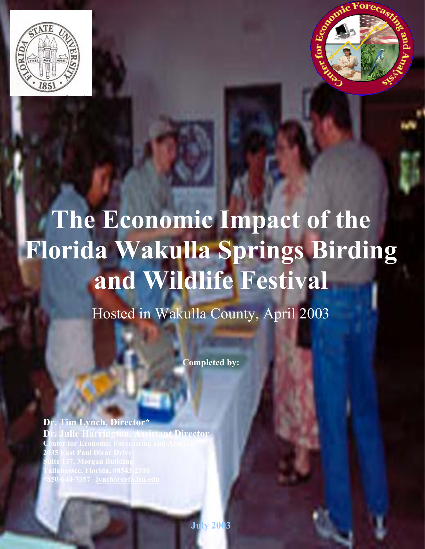



# **The Economic Impact of the Florida Wakulla Springs Birding and Wildlife Festival**

Hosted in Wakulla County, April 2003

**Completed by:** 

**Dr. Tim Lynch, Director\*** 

**Dr. Julie Harrington, Assistant Director 2035 East Paul Dirac Drive Tallahassee, Florida, 08543-2316 \*850-644-7357 [lynch@cefa.fsu.edu](mailto:lynch@cefa.fsu.edu)**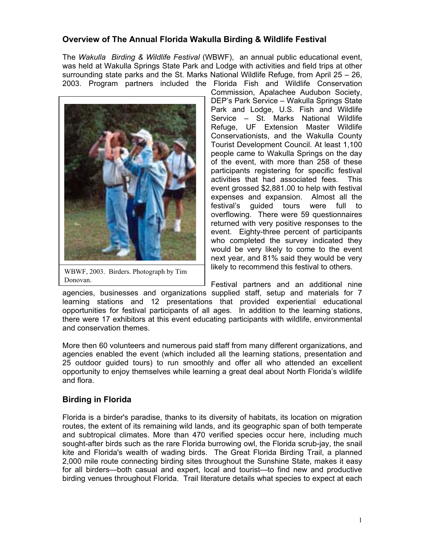## **Overview of The Annual Florida Wakulla Birding & Wildlife Festival**

The *Wakulla Birding & Wildlife Festival* (WBWF), an annual public educational event, was held at Wakulla Springs State Park and Lodge with activities and field trips at other surrounding state parks and the St. Marks National Wildlife Refuge, from April 25 – 26, 2003. Program partners included the Florida Fish and Wildlife Conservation



WBWF, 2003. Birders. Photograph by Tim Donovan.

Commission, Apalachee Audubon Society, DEP's Park Service – Wakulla Springs State Park and Lodge, U.S. Fish and Wildlife Service – St. Marks National Wildlife Refuge, UF Extension Master Wildlife Conservationists, and the Wakulla County Tourist Development Council. At least 1,100 people came to Wakulla Springs on the day of the event, with more than 258 of these participants registering for specific festival activities that had associated fees. This event grossed \$2,881.00 to help with festival expenses and expansion. Almost all the festival's guided tours were full to overflowing. There were 59 questionnaires returned with very positive responses to the event. Eighty-three percent of participants who completed the survey indicated they would be very likely to come to the event next year, and 81% said they would be very likely to recommend this festival to others.

Festival partners and an additional nine

agencies, businesses and organizations supplied staff, setup and materials for 7 learning stations and 12 presentations that provided experiential educational opportunities for festival participants of all ages. In addition to the learning stations, there were 17 exhibitors at this event educating participants with wildlife, environmental and conservation themes.

More then 60 volunteers and numerous paid staff from many different organizations, and agencies enabled the event (which included all the learning stations, presentation and 25 outdoor guided tours) to run smoothly and offer all who attended an excellent opportunity to enjoy themselves while learning a great deal about North Florida's wildlife and flora.

## **Birding in Florida**

Florida is a birder's paradise, thanks to its diversity of habitats, its location on migration routes, the extent of its remaining wild lands, and its geographic span of both temperate and subtropical climates. More than 470 verified species occur here, including much sought-after birds such as the rare Florida burrowing owl, the Florida scrub-jay, the snail kite and Florida's wealth of wading birds. The Great Florida Birding Trail, a planned 2,000 mile route connecting birding sites throughout the Sunshine State, makes it easy for all birders—both casual and expert, local and tourist—to find new and productive birding venues throughout Florida. Trail literature details what species to expect at each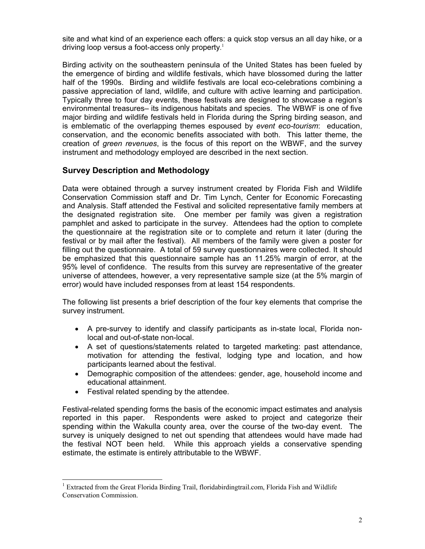site and what kind of an experience each offers: a quick stop versus an all day hike, or a driving loop versus a foot-access only property.<sup>[1](#page-2-0)</sup>

Birding activity on the southeastern peninsula of the United States has been fueled by the emergence of birding and wildlife festivals, which have blossomed during the latter half of the 1990s. Birding and wildlife festivals are local eco-celebrations combining a passive appreciation of land, wildlife, and culture with active learning and participation. Typically three to four day events, these festivals are designed to showcase a region's environmental treasures– its indigenous habitats and species. The WBWF is one of five major birding and wildlife festivals held in Florida during the Spring birding season, and is emblematic of the overlapping themes espoused by *event eco-tourism*: education, conservation, and the economic benefits associated with both. This latter theme, the creation of *green revenues*, is the focus of this report on the WBWF, and the survey instrument and methodology employed are described in the next section.

## **Survey Description and Methodology**

Data were obtained through a survey instrument created by Florida Fish and Wildlife Conservation Commission staff and Dr. Tim Lynch, Center for Economic Forecasting and Analysis. Staff attended the Festival and solicited representative family members at the designated registration site. One member per family was given a registration pamphlet and asked to participate in the survey. Attendees had the option to complete the questionnaire at the registration site or to complete and return it later (during the festival or by mail after the festival). All members of the family were given a poster for filling out the questionnaire. A total of 59 survey questionnaires were collected. It should be emphasized that this questionnaire sample has an 11.25% margin of error, at the 95% level of confidence. The results from this survey are representative of the greater universe of attendees, however, a very representative sample size (at the 5% margin of error) would have included responses from at least 154 respondents.

The following list presents a brief description of the four key elements that comprise the survey instrument.

- A pre-survey to identify and classify participants as in-state local, Florida nonlocal and out-of-state non-local.
- A set of questions/statements related to targeted marketing: past attendance, motivation for attending the festival, lodging type and location, and how participants learned about the festival.
- Demographic composition of the attendees: gender, age, household income and educational attainment.
- Festival related spending by the attendee.

Festival-related spending forms the basis of the economic impact estimates and analysis reported in this paper. Respondents were asked to project and categorize their spending within the Wakulla county area, over the course of the two-day event. The survey is uniquely designed to net out spending that attendees would have made had the festival NOT been held. While this approach yields a conservative spending estimate, the estimate is entirely attributable to the WBWF.

<span id="page-2-0"></span><sup>|&</sup>lt;br>| <sup>1</sup> Extracted from the Great Florida Birding Trail, floridabirdingtrail.com, Florida Fish and Wildlife Conservation Commission.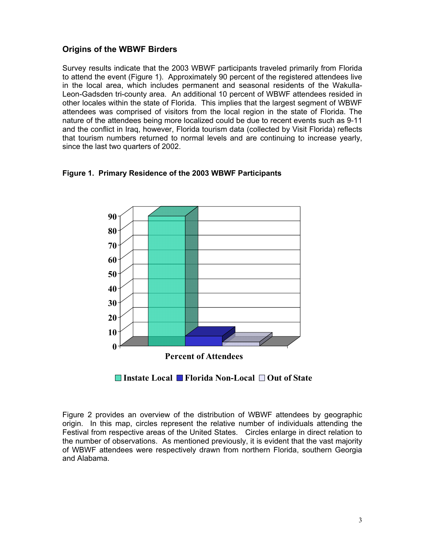## **Origins of the WBWF Birders**

Survey results indicate that the 2003 WBWF participants traveled primarily from Florida to attend the event (Figure 1). Approximately 90 percent of the registered attendees live in the local area, which includes permanent and seasonal residents of the Wakulla-Leon-Gadsden tri-county area. An additional 10 percent of WBWF attendees resided in other locales within the state of Florida. This implies that the largest segment of WBWF attendees was comprised of visitors from the local region in the state of Florida. The nature of the attendees being more localized could be due to recent events such as 9-11 and the conflict in Iraq, however, Florida tourism data (collected by Visit Florida) reflects that tourism numbers returned to normal levels and are continuing to increase yearly, since the last two quarters of 2002.



#### **Figure 1. Primary Residence of the 2003 WBWF Participants**

**Instate Local Florida Non-Local Out of State**

Figure 2 provides an overview of the distribution of WBWF attendees by geographic origin. In this map, circles represent the relative number of individuals attending the Festival from respective areas of the United States. Circles enlarge in direct relation to the number of observations. As mentioned previously, it is evident that the vast majority of WBWF attendees were respectively drawn from northern Florida, southern Georgia and Alabama.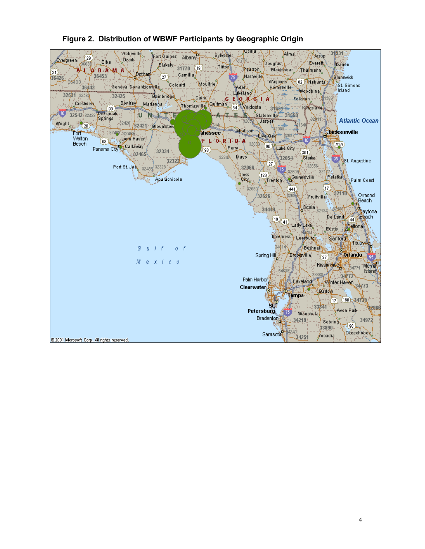

**Figure 2. Distribution of WBWF Participants by Geographic Origin**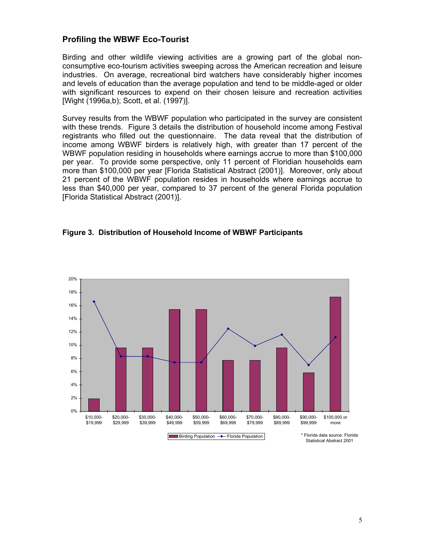### **Profiling the WBWF Eco-Tourist**

Birding and other wildlife viewing activities are a growing part of the global nonconsumptive eco-tourism activities sweeping across the American recreation and leisure industries. On average, recreational bird watchers have considerably higher incomes and levels of education than the average population and tend to be middle-aged or older with significant resources to expend on their chosen leisure and recreation activities [Wight (1996a,b); Scott, et al. (1997)].

Survey results from the WBWF population who participated in the survey are consistent with these trends. Figure 3 details the distribution of household income among Festival registrants who filled out the questionnaire. The data reveal that the distribution of income among WBWF birders is relatively high, with greater than 17 percent of the WBWF population residing in households where earnings accrue to more than \$100,000 per year. To provide some perspective, only 11 percent of Floridian households earn more than \$100,000 per year [Florida Statistical Abstract (2001)]. Moreover, only about 21 percent of the WBWF population resides in households where earnings accrue to less than \$40,000 per year, compared to 37 percent of the general Florida population [Florida Statistical Abstract (2001)].



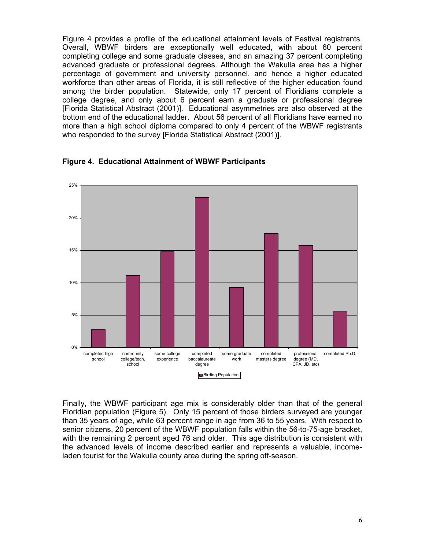Figure 4 provides a profile of the educational attainment levels of Festival registrants. Overall, WBWF birders are exceptionally well educated, with about 60 percent completing college and some graduate classes, and an amazing 37 percent completing advanced graduate or professional degrees. Although the Wakulla area has a higher percentage of government and university personnel, and hence a higher educated workforce than other areas of Florida, it is still reflective of the higher education found among the birder population. Statewide, only 17 percent of Floridians complete a college degree, and only about 6 percent earn a graduate or professional degree [Florida Statistical Abstract (2001)]. Educational asymmetries are also observed at the bottom end of the educational ladder. About 56 percent of all Floridians have earned no more than a high school diploma compared to only 4 percent of the WBWF registrants who responded to the survey [Florida Statistical Abstract (2001)].



**Figure 4. Educational Attainment of WBWF Participants** 

Finally, the WBWF participant age mix is considerably older than that of the general Floridian population (Figure 5). Only 15 percent of those birders surveyed are younger than 35 years of age, while 63 percent range in age from 36 to 55 years. With respect to senior citizens, 20 percent of the WBWF population falls within the 56-to-75-age bracket, with the remaining 2 percent aged 76 and older. This age distribution is consistent with the advanced levels of income described earlier and represents a valuable, incomeladen tourist for the Wakulla county area during the spring off-season.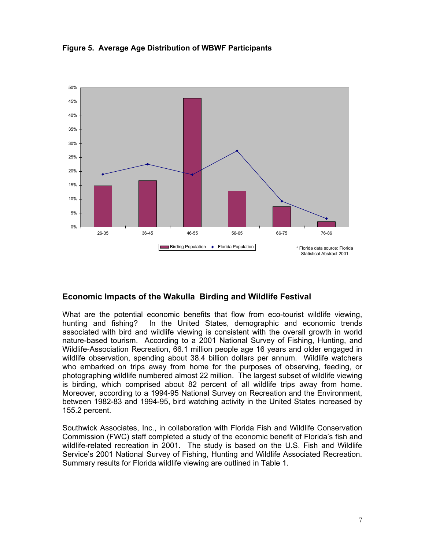**Figure 5. Average Age Distribution of WBWF Participants** 



## **Economic Impacts of the Wakulla Birding and Wildlife Festival**

What are the potential economic benefits that flow from eco-tourist wildlife viewing, hunting and fishing? In the United States, demographic and economic trends associated with bird and wildlife viewing is consistent with the overall growth in world nature-based tourism. According to a 2001 National Survey of Fishing, Hunting, and Wildlife-Association Recreation, 66.1 million people age 16 years and older engaged in wildlife observation, spending about 38.4 billion dollars per annum. Wildlife watchers who embarked on trips away from home for the purposes of observing, feeding, or photographing wildlife numbered almost 22 million. The largest subset of wildlife viewing is birding, which comprised about 82 percent of all wildlife trips away from home. Moreover, according to a 1994-95 National Survey on Recreation and the Environment, between 1982-83 and 1994-95, bird watching activity in the United States increased by 155.2 percent.

Southwick Associates, Inc., in collaboration with Florida Fish and Wildlife Conservation Commission (FWC) staff completed a study of the economic benefit of Florida's fish and wildlife-related recreation in 2001. The study is based on the U.S. Fish and Wildlife Service's 2001 National Survey of Fishing, Hunting and Wildlife Associated Recreation. Summary results for Florida wildlife viewing are outlined in Table 1.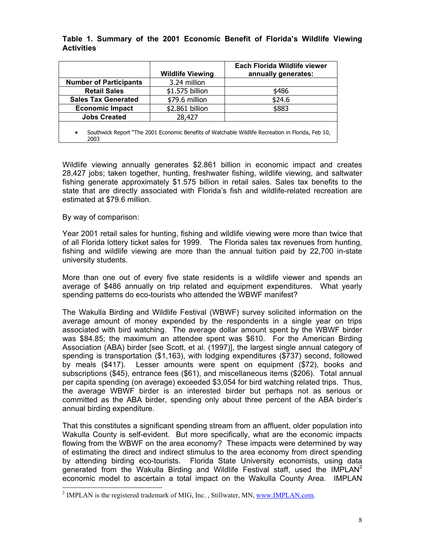#### **Table 1. Summary of the 2001 Economic Benefit of Florida's Wildlife Viewing Activities**

|                                                                                                                        |                         | Each Florida Wildlife viewer |  |  |  |  |
|------------------------------------------------------------------------------------------------------------------------|-------------------------|------------------------------|--|--|--|--|
|                                                                                                                        | <b>Wildlife Viewing</b> | annually generates:          |  |  |  |  |
| <b>Number of Participants</b>                                                                                          | 3.24 million            |                              |  |  |  |  |
| <b>Retail Sales</b>                                                                                                    | \$1.575 billion         | \$486                        |  |  |  |  |
| <b>Sales Tax Generated</b>                                                                                             | \$79.6 million          | \$24.6                       |  |  |  |  |
| <b>Economic Impact</b>                                                                                                 | \$2.861 billion         | \$883                        |  |  |  |  |
| <b>Jobs Created</b>                                                                                                    | 28,427                  |                              |  |  |  |  |
| Southwick Report "The 2001 Economic Benefits of Watchable Wildlife Recreation in Florida, Feb 10,<br>$\bullet$<br>2003 |                         |                              |  |  |  |  |

Wildlife viewing annually generates \$2.861 billion in economic impact and creates 28,427 jobs; taken together, hunting, freshwater fishing, wildlife viewing, and saltwater fishing generate approximately \$1.575 billion in retail sales. Sales tax benefits to the state that are directly associated with Florida's fish and wildlife-related recreation are estimated at \$79.6 million.

By way of comparison:

Year 2001 retail sales for hunting, fishing and wildlife viewing were more than twice that of all Florida lottery ticket sales for 1999. The Florida sales tax revenues from hunting, fishing and wildlife viewing are more than the annual tuition paid by 22,700 in-state university students.

More than one out of every five state residents is a wildlife viewer and spends an average of \$486 annually on trip related and equipment expenditures. What yearly spending patterns do eco-tourists who attended the WBWF manifest?

The Wakulla Birding and Wildlife Festival (WBWF) survey solicited information on the average amount of money expended by the respondents in a single year on trips associated with bird watching. The average dollar amount spent by the WBWF birder was \$84.85; the maximum an attendee spent was \$610. For the American Birding Association (ABA) birder [see Scott, et al. (1997)], the largest single annual category of spending is transportation (\$1,163), with lodging expenditures (\$737) second, followed by meals (\$417). Lesser amounts were spent on equipment (\$72), books and subscriptions (\$45), entrance fees (\$61), and miscellaneous items (\$206). Total annual per capita spending (on average) exceeded \$3,054 for bird watching related trips. Thus, the average WBWF birder is an interested birder but perhaps not as serious or committed as the ABA birder, spending only about three percent of the ABA birder's annual birding expenditure.

That this constitutes a significant spending stream from an affluent, older population into Wakulla County is self-evident. But more specifically, what are the economic impacts flowing from the WBWF on the area economy? These impacts were determined by way of estimating the direct and indirect stimulus to the area economy from direct spending by attending birding eco-tourists. Florida State University economists, using data generated from the Wakulla Birding and Wildlife Festival staff, used the IMPLAN<sup>[2](#page-8-0)</sup> economic model to ascertain a total impact on the Wakulla County Area. IMPLAN

<span id="page-8-0"></span><sup>&</sup>lt;sup>2</sup>  $<sup>2</sup>$  IMPLAN is the registered trademark of MIG, Inc., Stillwater, MN,  $\frac{www.IMPLAN.com}{www.IMPLAN.com}$ .</sup>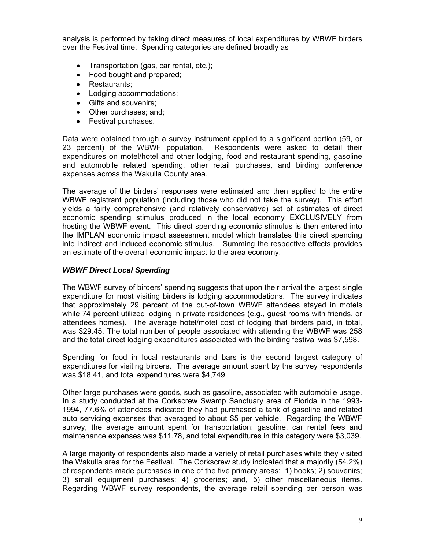analysis is performed by taking direct measures of local expenditures by WBWF birders over the Festival time. Spending categories are defined broadly as

- Transportation (gas, car rental, etc.);
- Food bought and prepared;
- Restaurants;
- Lodging accommodations;
- Gifts and souvenirs;
- Other purchases; and;
- Festival purchases.

Data were obtained through a survey instrument applied to a significant portion (59, or 23 percent) of the WBWF population. Respondents were asked to detail their expenditures on motel/hotel and other lodging, food and restaurant spending, gasoline and automobile related spending, other retail purchases, and birding conference expenses across the Wakulla County area.

The average of the birders' responses were estimated and then applied to the entire WBWF registrant population (including those who did not take the survey). This effort yields a fairly comprehensive (and relatively conservative) set of estimates of direct economic spending stimulus produced in the local economy EXCLUSIVELY from hosting the WBWF event. This direct spending economic stimulus is then entered into the IMPLAN economic impact assessment model which translates this direct spending into indirect and induced economic stimulus. Summing the respective effects provides an estimate of the overall economic impact to the area economy.

#### *WBWF Direct Local Spending*

The WBWF survey of birders' spending suggests that upon their arrival the largest single expenditure for most visiting birders is lodging accommodations. The survey indicates that approximately 29 percent of the out-of-town WBWF attendees stayed in motels while 74 percent utilized lodging in private residences (e.g., guest rooms with friends, or attendees homes). The average hotel/motel cost of lodging that birders paid, in total, was \$29.45. The total number of people associated with attending the WBWF was 258 and the total direct lodging expenditures associated with the birding festival was \$7,598.

Spending for food in local restaurants and bars is the second largest category of expenditures for visiting birders. The average amount spent by the survey respondents was \$18.41, and total expenditures were \$4,749.

Other large purchases were goods, such as gasoline, associated with automobile usage. In a study conducted at the Corkscrew Swamp Sanctuary area of Florida in the 1993- 1994, 77.6% of attendees indicated they had purchased a tank of gasoline and related auto servicing expenses that averaged to about \$5 per vehicle. Regarding the WBWF survey, the average amount spent for transportation: gasoline, car rental fees and maintenance expenses was \$11.78, and total expenditures in this category were \$3,039.

A large majority of respondents also made a variety of retail purchases while they visited the Wakulla area for the Festival. The Corkscrew study indicated that a majority (54.2%) of respondents made purchases in one of the five primary areas: 1) books; 2) souvenirs; 3) small equipment purchases; 4) groceries; and, 5) other miscellaneous items. Regarding WBWF survey respondents, the average retail spending per person was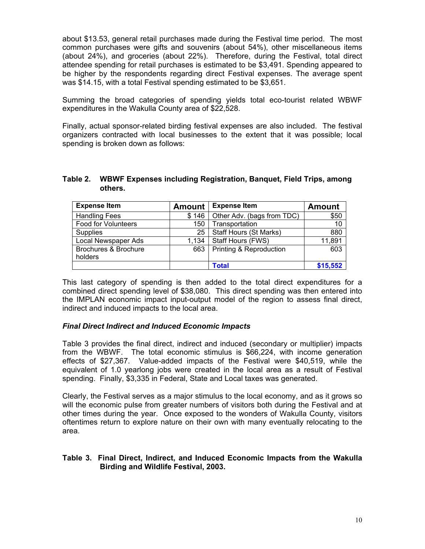about \$13.53, general retail purchases made during the Festival time period. The most common purchases were gifts and souvenirs (about 54%), other miscellaneous items (about 24%), and groceries (about 22%). Therefore, during the Festival, total direct attendee spending for retail purchases is estimated to be \$3,491. Spending appeared to be higher by the respondents regarding direct Festival expenses. The average spent was \$14.15, with a total Festival spending estimated to be \$3,651.

Summing the broad categories of spending yields total eco-tourist related WBWF expenditures in the Wakulla County area of \$22,528.

Finally, actual sponsor-related birding festival expenses are also included. The festival organizers contracted with local businesses to the extent that it was possible; local spending is broken down as follows:

#### **Table 2. WBWF Expenses including Registration, Banquet, Field Trips, among others.**

| <b>Expense Item</b>             | <b>Amount</b> | <b>Expense Item</b>        | <b>Amount</b> |
|---------------------------------|---------------|----------------------------|---------------|
| <b>Handling Fees</b>            | \$146         | Other Adv. (bags from TDC) | \$50          |
| <b>Food for Volunteers</b>      | 150           | Transportation             | 10            |
| <b>Supplies</b>                 | 25            | Staff Hours (St Marks)     | 880           |
| Local Newspaper Ads             | 1.134         | Staff Hours (FWS)          | 11,891        |
| <b>Brochures &amp; Brochure</b> | 663           | Printing & Reproduction    | 603           |
| holders                         |               |                            |               |
|                                 |               | <b>Total</b>               | \$15,552      |

This last category of spending is then added to the total direct expenditures for a combined direct spending level of \$38,080. This direct spending was then entered into the IMPLAN economic impact input-output model of the region to assess final direct, indirect and induced impacts to the local area.

#### *Final Direct Indirect and Induced Economic Impacts*

Table 3 provides the final direct, indirect and induced (secondary or multiplier) impacts from the WBWF. The total economic stimulus is \$66,224, with income generation effects of \$27,367. Value-added impacts of the Festival were \$40,519, while the equivalent of 1.0 yearlong jobs were created in the local area as a result of Festival spending. Finally, \$3,335 in Federal, State and Local taxes was generated.

Clearly, the Festival serves as a major stimulus to the local economy, and as it grows so will the economic pulse from greater numbers of visitors both during the Festival and at other times during the year. Once exposed to the wonders of Wakulla County, visitors oftentimes return to explore nature on their own with many eventually relocating to the area.

#### **Table 3. Final Direct, Indirect, and Induced Economic Impacts from the Wakulla Birding and Wildlife Festival, 2003.**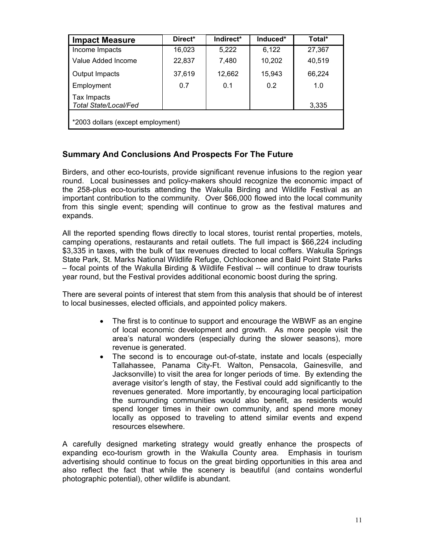| <b>Impact Measure</b>                | Direct* | Indirect* | Induced* | Total* |  |  |
|--------------------------------------|---------|-----------|----------|--------|--|--|
| Income Impacts                       | 16,023  | 5,222     | 6,122    | 27,367 |  |  |
| Value Added Income                   | 22,837  | 7,480     | 10,202   | 40,519 |  |  |
| Output Impacts                       | 37,619  | 12,662    | 15,943   | 66,224 |  |  |
| Employment                           | 0.7     | 0.1       | 0.2      | 1.0    |  |  |
| Tax Impacts<br>Total State/Local/Fed |         |           |          | 3,335  |  |  |
| *2003 dollars (except employment)    |         |           |          |        |  |  |

## **Summary And Conclusions And Prospects For The Future**

Birders, and other eco-tourists, provide significant revenue infusions to the region year round. Local businesses and policy-makers should recognize the economic impact of the 258-plus eco-tourists attending the Wakulla Birding and Wildlife Festival as an important contribution to the community. Over \$66,000 flowed into the local community from this single event; spending will continue to grow as the festival matures and expands.

All the reported spending flows directly to local stores, tourist rental properties, motels, camping operations, restaurants and retail outlets. The full impact is \$66,224 including \$3,335 in taxes, with the bulk of tax revenues directed to local coffers. Wakulla Springs State Park, St. Marks National Wildlife Refuge, Ochlockonee and Bald Point State Parks – focal points of the Wakulla Birding & Wildlife Festival -- will continue to draw tourists year round, but the Festival provides additional economic boost during the spring.

There are several points of interest that stem from this analysis that should be of interest to local businesses, elected officials, and appointed policy makers.

- The first is to continue to support and encourage the WBWF as an engine of local economic development and growth. As more people visit the area's natural wonders (especially during the slower seasons), more revenue is generated.
- The second is to encourage out-of-state, instate and locals (especially Tallahassee, Panama City-Ft. Walton, Pensacola, Gainesville, and Jacksonville) to visit the area for longer periods of time. By extending the average visitor's length of stay, the Festival could add significantly to the revenues generated. More importantly, by encouraging local participation the surrounding communities would also benefit, as residents would spend longer times in their own community, and spend more money locally as opposed to traveling to attend similar events and expend resources elsewhere.

A carefully designed marketing strategy would greatly enhance the prospects of expanding eco-tourism growth in the Wakulla County area. Emphasis in tourism advertising should continue to focus on the great birding opportunities in this area and also reflect the fact that while the scenery is beautiful (and contains wonderful photographic potential), other wildlife is abundant.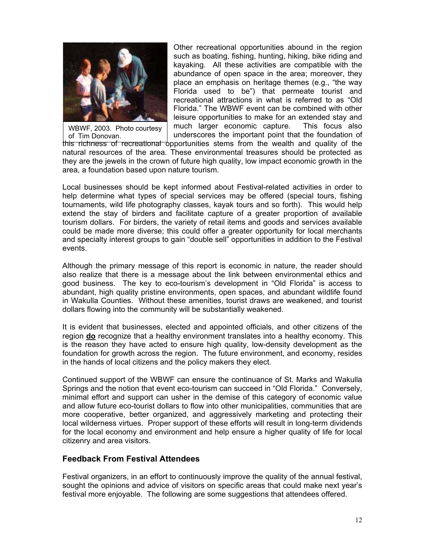

WBWF, 2003. Photo courtesy of Tim Donovan.

Other recreational opportunities abound in the region such as boating, fishing, hunting, hiking, bike riding and kayaking. All these activities are compatible with the abundance of open space in the area; moreover, they place an emphasis on heritage themes (e.g., "the way Florida used to be") that permeate tourist and recreational attractions in what is referred to as "Old Florida." The WBWF event can be combined with other leisure opportunities to make for an extended stay and much larger economic capture. This focus also underscores the important point that the foundation of

this richness of recreational opportunities stems from the wealth and quality of the natural resources of the area. These environmental treasures should be protected as they are the jewels in the crown of future high quality, low impact economic growth in the area, a foundation based upon nature tourism.

Local businesses should be kept informed about Festival-related activities in order to help determine what types of special services may be offered (special tours, fishing tournaments, wild life photography classes, kayak tours and so forth). This would help extend the stay of birders and facilitate capture of a greater proportion of available tourism dollars. For birders, the variety of retail items and goods and services available could be made more diverse; this could offer a greater opportunity for local merchants and specialty interest groups to gain "double sell" opportunities in addition to the Festival events.

Although the primary message of this report is economic in nature, the reader should also realize that there is a message about the link between environmental ethics and good business. The key to eco-tourism's development in "Old Florida" is access to abundant, high quality pristine environments, open spaces, and abundant wildlife found in Wakulla Counties. Without these amenities, tourist draws are weakened, and tourist dollars flowing into the community will be substantially weakened.

It is evident that businesses, elected and appointed officials, and other citizens of the region **do** recognize that a healthy environment translates into a healthy economy. This is the reason they have acted to ensure high quality, low-density development as the foundation for growth across the region. The future environment, and economy, resides in the hands of local citizens and the policy makers they elect.

Continued support of the WBWF can ensure the continuance of St. Marks and Wakulla Springs and the notion that event eco-tourism can succeed in "Old Florida." Conversely, minimal effort and support can usher in the demise of this category of economic value and allow future eco-tourist dollars to flow into other municipalities, communities that are more cooperative, better organized, and aggressively marketing and protecting their local wilderness virtues. Proper support of these efforts will result in long-term dividends for the local economy and environment and help ensure a higher quality of life for local citizenry and area visitors.

#### **Feedback From Festival Attendees**

Festival organizers, in an effort to continuously improve the quality of the annual festival, sought the opinions and advice of visitors on specific areas that could make next year's festival more enjoyable. The following are some suggestions that attendees offered.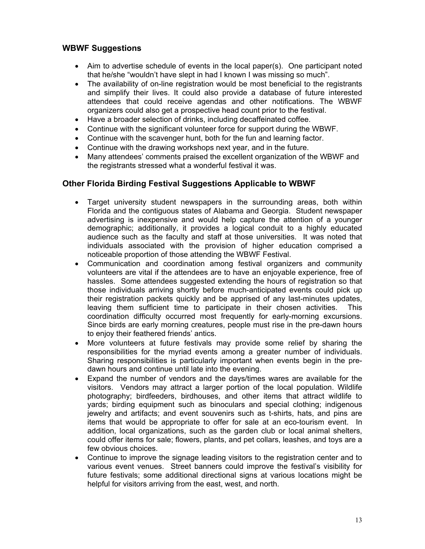## **WBWF Suggestions**

- Aim to advertise schedule of events in the local paper(s). One participant noted that he/she "wouldn't have slept in had I known I was missing so much".
- The availability of on-line registration would be most beneficial to the registrants and simplify their lives. It could also provide a database of future interested attendees that could receive agendas and other notifications. The WBWF organizers could also get a prospective head count prior to the festival.
- Have a broader selection of drinks, including decaffeinated coffee.
- Continue with the significant volunteer force for support during the WBWF.
- Continue with the scavenger hunt, both for the fun and learning factor.
- Continue with the drawing workshops next year, and in the future.
- Many attendees' comments praised the excellent organization of the WBWF and the registrants stressed what a wonderful festival it was.

## **Other Florida Birding Festival Suggestions Applicable to WBWF**

- Target university student newspapers in the surrounding areas, both within Florida and the contiguous states of Alabama and Georgia. Student newspaper advertising is inexpensive and would help capture the attention of a younger demographic; additionally, it provides a logical conduit to a highly educated audience such as the faculty and staff at those universities. It was noted that individuals associated with the provision of higher education comprised a noticeable proportion of those attending the WBWF Festival.
- Communication and coordination among festival organizers and community volunteers are vital if the attendees are to have an enjoyable experience, free of hassles. Some attendees suggested extending the hours of registration so that those individuals arriving shortly before much-anticipated events could pick up their registration packets quickly and be apprised of any last-minutes updates, leaving them sufficient time to participate in their chosen activities. This coordination difficulty occurred most frequently for early-morning excursions. Since birds are early morning creatures, people must rise in the pre-dawn hours to enjoy their feathered friends' antics.
- More volunteers at future festivals may provide some relief by sharing the responsibilities for the myriad events among a greater number of individuals. Sharing responsibilities is particularly important when events begin in the predawn hours and continue until late into the evening.
- Expand the number of vendors and the days/times wares are available for the visitors. Vendors may attract a larger portion of the local population. Wildlife photography; birdfeeders, birdhouses, and other items that attract wildlife to yards; birding equipment such as binoculars and special clothing; indigenous jewelry and artifacts; and event souvenirs such as t-shirts, hats, and pins are items that would be appropriate to offer for sale at an eco-tourism event. In addition, local organizations, such as the garden club or local animal shelters, could offer items for sale; flowers, plants, and pet collars, leashes, and toys are a few obvious choices.
- Continue to improve the signage leading visitors to the registration center and to various event venues. Street banners could improve the festival's visibility for future festivals; some additional directional signs at various locations might be helpful for visitors arriving from the east, west, and north.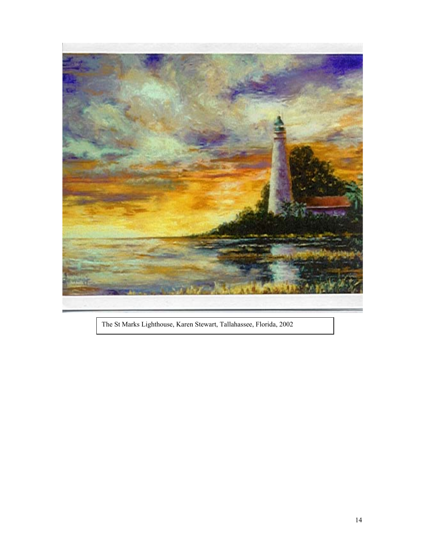

The St Marks Lighthouse, Karen Stewart, Tallahassee, Florida, 2002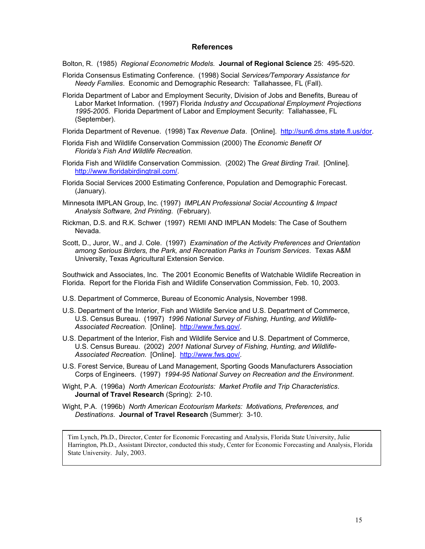#### **References**

Bolton, R. (1985) *Regional Econometric Models.* **Journal of Regional Science** 25: 495-520.

- Florida Consensus Estimating Conference. (1998) Social *Services/Temporary Assistance for Needy Families*. Economic and Demographic Research: Tallahassee, FL (Fall).
- Florida Department of Labor and Employment Security, Division of Jobs and Benefits, Bureau of Labor Market Information. (1997) Florida *Industry and Occupational Employment Projections 1995-2005*. Florida Department of Labor and Employment Security: Tallahassee, FL (September).

Florida Department of Revenue. (1998) Tax *Revenue Data*. [Online]. [http://sun6.dms.state.fl.us/dor.](http://sun6.dms.state.fl.us/dor)

- Florida Fish and Wildlife Conservation Commission (2000) The *Economic Benefit Of Florida's Fish And Wildlife Recreation*.
- Florida Fish and Wildlife Conservation Commission. (2002) The *Great Birding Trail*. [Online]. [http://www.floridabirdingtrail.com/.](http://www.floridabirdingtrail.com/)
- Florida Social Services 2000 Estimating Conference, Population and Demographic Forecast. (January).
- Minnesota IMPLAN Group, Inc. (1997) *IMPLAN Professional Social Accounting & Impact Analysis Software, 2nd Printing*. (February).
- Rickman, D.S. and R.K. Schwer (1997) REMI AND IMPLAN Models: The Case of Southern Nevada.
- Scott, D., Juror, W., and J. Cole. (1997) *Examination of the Activity Preferences and Orientation among Serious Birders, the Park, and Recreation Parks in Tourism Services*. Texas A&M University, Texas Agricultural Extension Service.

Southwick and Associates, Inc. The 2001 Economic Benefits of Watchable Wildlife Recreation in Florida. Report for the Florida Fish and Wildlife Conservation Commission, Feb. 10, 2003.

- U.S. Department of Commerce, Bureau of Economic Analysis, November 1998.
- U.S. Department of the Interior, Fish and Wildlife Service and U.S. Department of Commerce, U.S. Census Bureau. (1997) *1996 National Survey of Fishing, Hunting, and Wildlife-Associated Recreation*. [Online]. [http://www.fws.gov/.](http://www.fws.gov/)
- U.S. Department of the Interior, Fish and Wildlife Service and U.S. Department of Commerce, U.S. Census Bureau. (2002) *2001 National Survey of Fishing, Hunting, and Wildlife-Associated Recreation*. [Online]. [http://www.fws.gov/.](http://www.fws.gov/)
- U.S. Forest Service, Bureau of Land Management, Sporting Goods Manufacturers Association Corps of Engineers. (1997) *1994-95 National Survey on Recreation and the Environment*.
- Wight, P.A. (1996a) *North American Ecotourists: Market Profile and Trip Characteristics*. **Journal of Travel Research** (Spring): 2-10.
- Wight, P.A. (1996b) *North American Ecotourism Markets: Motivations, Preferences, and Destinations*. **Journal of Travel Research** (Summer): 3-10.

Tim Lynch, Ph.D., Director, Center for Economic Forecasting and Analysis, Florida State University, Julie Harrington, Ph.D., Assistant Director, conducted this study, Center for Economic Forecasting and Analysis, Florida State University. July, 2003.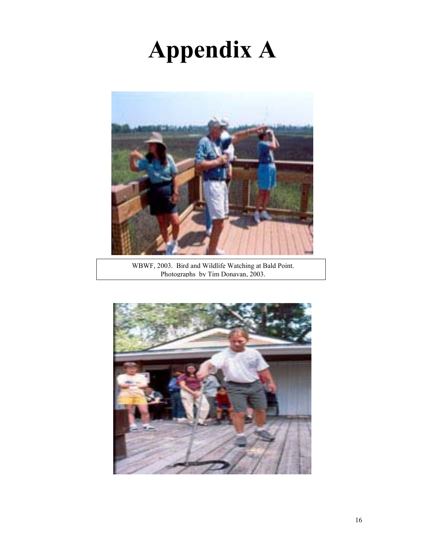## **Appendix A**



WBWF, 2003. Bird and Wildlife Watching at Bald Point. Photographs by Tim Donavan, 2003.